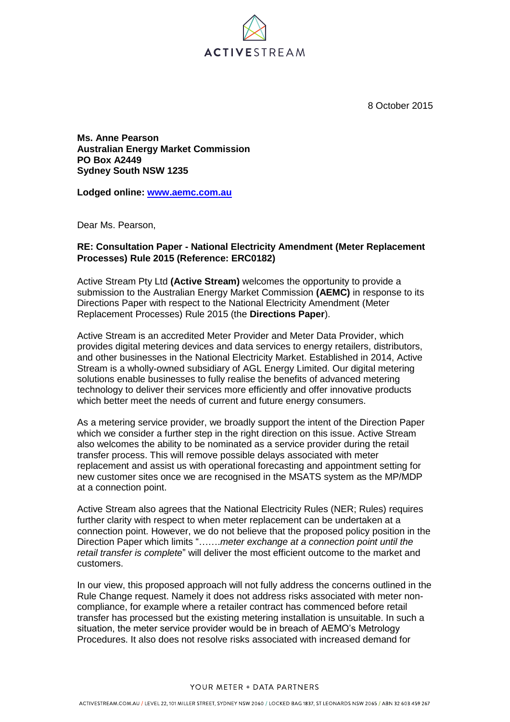

8 October 2015

**Ms. Anne Pearson Australian Energy Market Commission PO Box A2449 Sydney South NSW 1235**

**Lodged online: [www.aemc.com.au](http://www.aemc.com.au/)**

Dear Ms. Pearson,

## **RE: Consultation Paper - National Electricity Amendment (Meter Replacement Processes) Rule 2015 (Reference: ERC0182)**

Active Stream Pty Ltd **(Active Stream)** welcomes the opportunity to provide a submission to the Australian Energy Market Commission **(AEMC)** in response to its Directions Paper with respect to the National Electricity Amendment (Meter Replacement Processes) Rule 2015 (the **Directions Paper**).

Active Stream is an accredited Meter Provider and Meter Data Provider, which provides digital metering devices and data services to energy retailers, distributors, and other businesses in the National Electricity Market. Established in 2014, Active Stream is a wholly-owned subsidiary of AGL Energy Limited. Our digital metering solutions enable businesses to fully realise the benefits of advanced metering technology to deliver their services more efficiently and offer innovative products which better meet the needs of current and future energy consumers.

As a metering service provider, we broadly support the intent of the Direction Paper which we consider a further step in the right direction on this issue. Active Stream also welcomes the ability to be nominated as a service provider during the retail transfer process. This will remove possible delays associated with meter replacement and assist us with operational forecasting and appointment setting for new customer sites once we are recognised in the MSATS system as the MP/MDP at a connection point.

Active Stream also agrees that the National Electricity Rules (NER; Rules) requires further clarity with respect to when meter replacement can be undertaken at a connection point. However, we do not believe that the proposed policy position in the Direction Paper which limits "…….*meter exchange at a connection point until the retail transfer is complete*" will deliver the most efficient outcome to the market and customers.

In our view, this proposed approach will not fully address the concerns outlined in the Rule Change request. Namely it does not address risks associated with meter noncompliance, for example where a retailer contract has commenced before retail transfer has processed but the existing metering installation is unsuitable. In such a situation, the meter service provider would be in breach of AEMO's Metrology Procedures. It also does not resolve risks associated with increased demand for